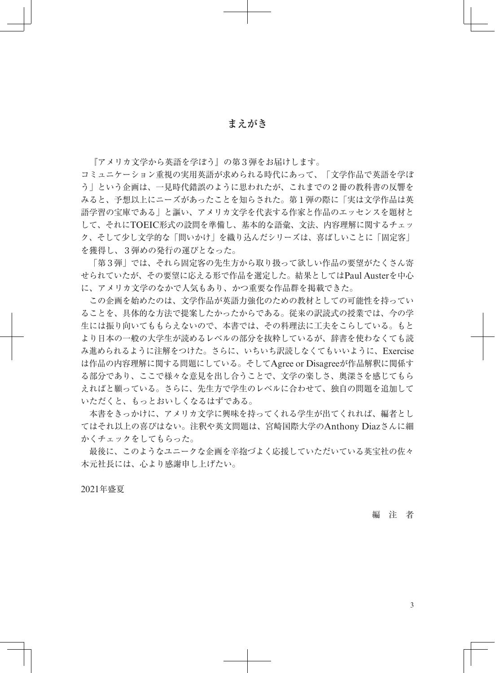## **まえがき**

『アメリカ文学から英語を学ぼう』の第3弾をお届けします。

コミュニケーション重視の実用英語が求められる時代にあって、「文学作品で英語を学ぼ う」という企画は、一見時代錯誤のように思われたが、これまでの2冊の教科書の反響を みると、予想以上にニーズがあったことを知らされた。第1弾の際に「実は文学作品は英 語学習の宝庫である」と謳い、アメリカ文学を代表する作家と作品のエッセンスを題材と して、それにTOEIC形式の設問を準備し、基本的な語彙、文法、内容理解に関するチェッ ク、そして少し文学的な「問いかけ」を織り込んだシリーズは、喜ばしいことに「固定客」 を獲得し、3弾めの発行の運びとなった。

 「第3弾」では、それら固定客の先生方から取り扱って欲しい作品の要望がたくさん寄 せられていたが、その要望に応える形で作品を選定した。結果としてはPaul Austerを中心 に、アメリカ文学のなかで人気もあり、かつ重要な作品群を掲載できた。

 この企画を始めたのは、文学作品が英語力強化のための教材としての可能性を持ってい ることを、具体的な方法で提案したかったからである。従来の訳読式の授業では、今の学 生には振り向いてももらえないので、本書では、その料理法に工夫をこらしている。もと より日本の一般の大学生が読めるレベルの部分を抜粋しているが、辞書を使わなくても読 み進められるように注解をつけた。さらに、いちいち訳読しなくてもいいように、Exercise は作品の内容理解に関する問題にしている。そしてAgree or Disagreeが作品解釈に関係す る部分であり、ここで様々な意見を出し合うことで、文学の楽しさ、奥深さを感じてもら えればと願っている。さらに、先生方で学生のレベルに合わせて、独自の問題を追加して いただくと、もっとおいしくなるはずである。

 本書をきっかけに、アメリカ文学に興味を持ってくれる学生が出てくれれば、編者とし てはそれ以上の喜びはない。注釈や英文問題は、宮崎国際大学のAnthony Diazさんに細 かくチェックをしてもらった。

 最後に、このようなユニークな企画を辛抱づよく応援していただいている英宝社の佐々 木元社長には、心より感謝申し上げたい。

2021年盛夏

編 注 者

3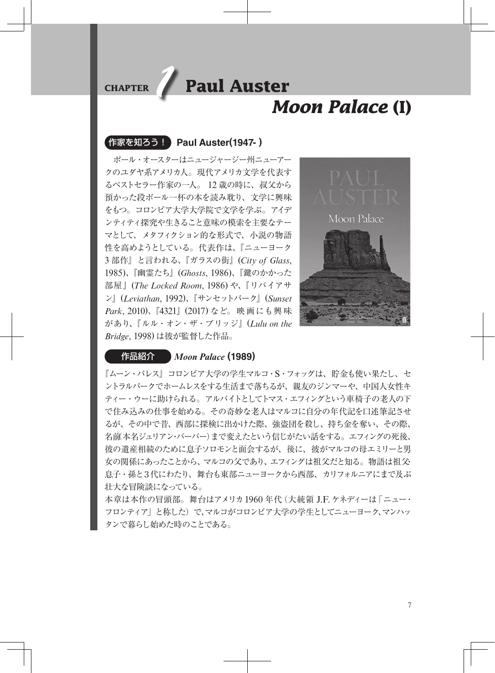*1*

# **CHAPTER Paul Auster**

## *Moon Palace* **(I)**

## 作家を知ろう! **Paul Auster(1947- )**

 ポール・オースターはニュージャージー州ニューアー クのユダヤ系アメリカ人。現代アメリカ文学を代表す るベストセラー作家の一人。 12 歳の時に、叔父から 預かった段ボール一杯の本を読み耽り、文学に興味 をもつ。コロンビア大学大学院で文学を学ぶ。アイデ ンティティ探究や生きること意味の模索を主要なテー マとして、メタフィクション的な形式で、小説の物語 性を高めようとしている。代表作は、『ニューヨーク 3 部作』と言われる、『ガラスの街』(*City of Glass*, 1985)、『幽霊たち』(*Ghosts*, 1986)、『鍵のかかった 部屋』(*The Locked Room*, 1986) や、『リバイアサ ン』(*Leviathan*, 1992)、『サンセットパーク』(*Sunset Park*, 2010)、『4321』(2017) など。 映画にも興 味 があり、『ルル・オン・ザ・ブリッジ』(*Lulu on the Bridge*, 1998) は彼が監督した作品。



#### 作品紹介 *Moon Palace* **(1989)**

『ムーン・パレス』コロンビア大学の学生マルコ・S・フォッグは、貯金も使い果たし、セ ントラルパークでホームレスをする生活まで落ちるが、親友のジンマーや、中国人女性キ ティー・ウーに助けられる。アルバイトとしてトマス・エフィングという車椅子の老人の下 で住み込みの仕事を始める。その奇妙な老人はマルコに自分の年代記を口述筆記させ るが、その中で昔、西部に探検に出かけた際、強盗団を殺し、持ち金を奪い、その際、 名前(本名ジュリアン・バーバー)まで変えたという信じがたい話をする。エフィングの死後、 彼の遺産相続のために息子ソロモンと面会するが、後に、彼がマルコの母エミリーと男 女の関係にあったことから、マルコの父であり、エフィングは祖父だと知る。物語は祖父・ 息子・孫と3代にわたり、舞台も東部ニューヨークから西部、カリフォルニアにまで及ぶ 壮大な冒険談になっている。

本章は本作の冒頭部。舞台はアメリカ1960 年代(大統領 J.F.ケネディーは「ニュー・ フロンティア」と称した)で、マルコがコロンビア大学の学生としてニューヨーク、マンハッ タンで暮らし始めた時のことである。

7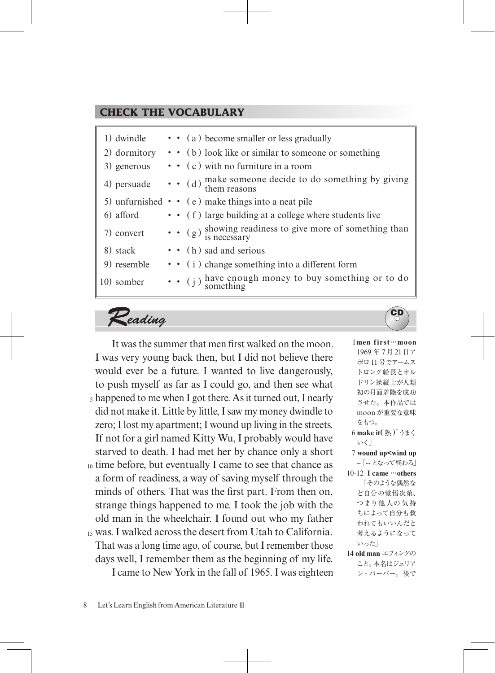## **CHECK THE VOCABULARY**

| 1) dwindle   | • • (a) become smaller or less gradually                                  |
|--------------|---------------------------------------------------------------------------|
| 2) dormitory | $\cdot$ (b) look like or similar to someone or something                  |
| 3) generous  | $\cdot \cdot$ (c) with no furniture in a room                             |
| 4) persuade  | $\cdot$ (d) make someone decide to do something by giving<br>them reasons |
|              | 5) unfurnished $\cdot \cdot$ (e) make things into a neat pile             |
| 6) afford    | • • (f) large building at a college where students live                   |
| 7) convert   | • $(g)$ showing readiness to give more of something than<br>is necessary  |
| 8) stack     | $\cdot$ (h) sad and serious                                               |
| 9) resemble  | • • (i) change something into a different form                            |
| 10) somber   | $\cdot$ (j) have enough money to buy something or to do<br>something      |
|              |                                                                           |

 $R$ eading

5 happened to me when I got there. As it turned out, I nearly 10 time before, but eventually I came to see that chance as 15 was. I walked across the desert from Utah to California. It was the summer that men first walked on the moon. I was very young back then, but I did not believe there would ever be a future. I wanted to live dangerously, to push myself as far as I could go, and then see what did not make it. Little by little, I saw my money dwindle to zero; I lost my apartment; I wound up living in the streets. If not for a girl named Kitty Wu, I probably would have starved to death. I had met her by chance only a short a form of readiness, a way of saving myself through the minds of others. That was the first part. From then on, strange things happened to me. I took the job with the old man in the wheelchair. I found out who my father That was a long time ago, of course, but I remember those days well, I remember them as the beginning of my life. I came to New York in the fall of 1965. I was eighteen

```
1men first…moon 
 1969 年 7 月 21日ア
 ポロ11 号でアームス
 トロング船長とオル
 ドリン操縦士が人類
 初の月面着陸を成功
 させた。本作品では
moon が重要な意味
 をもつ。
6 make it( 熟「うまく )
いく」
7 wound up<wind up 
–「--となって終わる」
10-12 I came …others
  「そのような偶然な
 ど自分の覚悟次第、
つまり他人の気持
 ちによって自分も救
 われてもいいんだと
 考えるようになって
いった」
14 old man エフィングの
 こと。本名はジュリア
 ン・バーバー。後で
```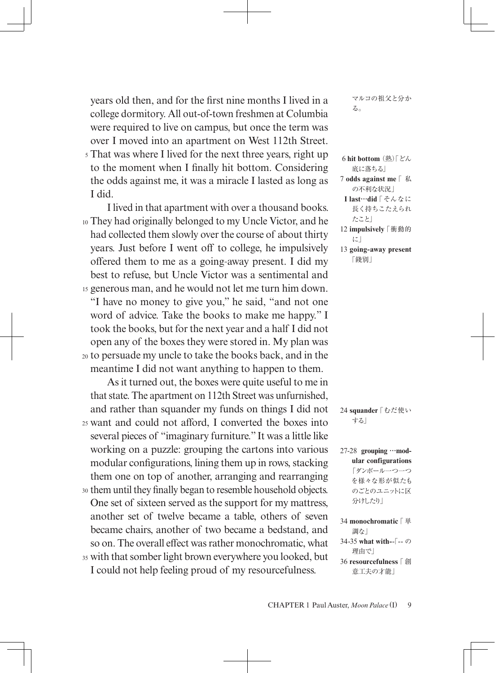5 That was where I lived for the next three years, right up years old then, and for the first nine months I lived in a college dormitory. All out-of-town freshmen at Columbia were required to live on campus, but once the term was over I moved into an apartment on West 112th Street. to the moment when I finally hit bottom. Considering the odds against me, it was a miracle I lasted as long as I did.

10 They had originally belonged to my Uncle Victor, and he 15 generous man, and he would not let me turn him down. 20 to persuade my uncle to take the books back, and in the I lived in that apartment with over a thousand books. had collected them slowly over the course of about thirty years. Just before I went off to college, he impulsively offered them to me as a going-away present. I did my best to refuse, but Uncle Victor was a sentimental and "I have no money to give you," he said, "and not one word of advice. Take the books to make me happy." I took the books, but for the next year and a half I did not open any of the boxes they were stored in. My plan was meantime I did not want anything to happen to them.

25 want and could not afford, I converted the boxes into 30 them until they finally began to resemble household objects. 35 with that somber light brown everywhere you looked, but As it turned out, the boxes were quite useful to me in that state. The apartment on 112th Street was unfurnished, and rather than squander my funds on things I did not several pieces of "imaginary furniture." It was a little like working on a puzzle: grouping the cartons into various modular configurations, lining them up in rows, stacking them one on top of another, arranging and rearranging One set of sixteen served as the support for my mattress, another set of twelve became a table, others of seven became chairs, another of two became a bedstand, and so on. The overall effect was rather monochromatic, what I could not help feeling proud of my resourcefulness.

マルコの祖父と分か る。

 6 **hit bottom** (熟)「どん 底に落ちる」 7 **odds against me**「 私 の不利な状況」  **I last…did**「そんなに 長く持ちこたえられ たこと」 12 **impulsively**「衝動的 に」 13 **going-away present**  「餞別」

24 **squander**「むだ使い する」

27-28 **grouping …modular configurations** 「ダンボール一つ一つ を様々な形が似たも のごとのユニットに区 分けしたり」

#### 34 **monochromatic**「 単 調な」

34-35 what with--「-- の 理由で 36 **resourcefulness** 「 創

```
意工夫の才能」
```
CHAPTER 1 Paul Auster, *Moon Palace* (I) 9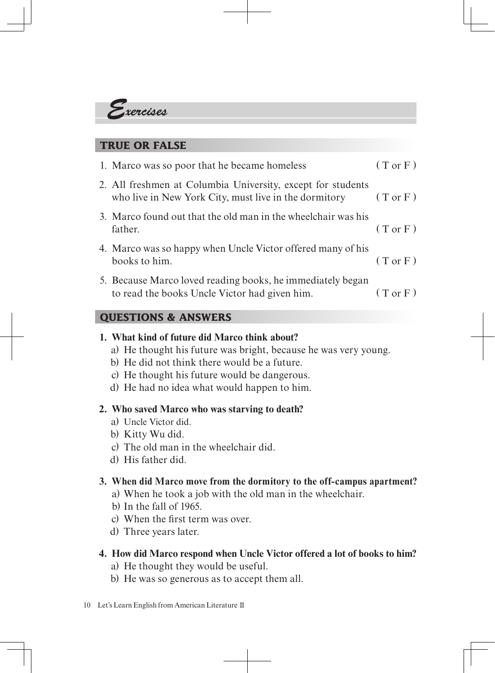

## **TRUE OR FALSE**

| 1. Marco was so poor that he became homeless                                                                         | (Tor F) |
|----------------------------------------------------------------------------------------------------------------------|---------|
| 2. All freshmen at Columbia University, except for students<br>who live in New York City, must live in the dormitory | (Tor F) |
| 3. Marco found out that the old man in the wheelchair was his<br>father.                                             | (Tor F) |
| 4. Marco was so happy when Uncle Victor offered many of his<br>books to him.                                         | (Tor F) |
| 5. Because Marco loved reading books, he immediately began<br>to read the books Uncle Victor had given him.          | (Tor F) |

## **QUESTIONS & ANSWERS**

## **1. What kind of future did Marco think about?**

- a) He thought his future was bright, because he was very young.
- b) He did not think there would be a future.
- c) He thought his future would be dangerous.
- d) He had no idea what would happen to him.

## **2. Who saved Marco who was starving to death?**

- a) Uncle Victor did.
- b) Kitty Wu did.
- c) The old man in the wheelchair did.
- d) His father did.

#### **3. When did Marco move from the dormitory to the off-campus apartment?**

- a) When he took a job with the old man in the wheelchair.
- b) In the fall of 1965.
- c) When the first term was over.
- d) Three years later.

#### **4. How did Marco respond when Uncle Victor offered a lot of books to him?**

- a) He thought they would be useful.
- b) He was so generous as to accept them all.
- 10 Let's Learn English from American Literature Ⅲ